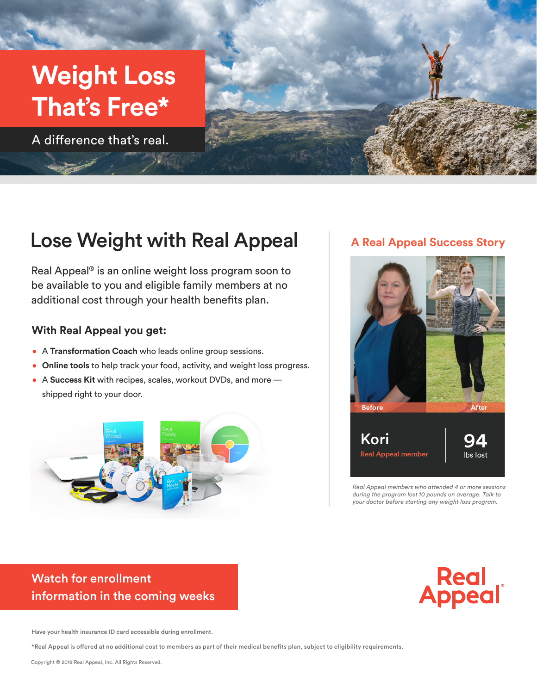# **Weight Loss That's Free\***

A difference that's real.



## Lose Weight with Real Appeal

Real Appeal® is an online weight loss program soon to be available to you and eligible family members at no additional cost through your health benefits plan.

#### **With Real Appeal you get:**

- A **Transformation Coach** who leads online group sessions.
- **Online tools** to help track your food, activity, and weight loss progress.
- A **Success Kit** with recipes, scales, workout DVDs, and more shipped right to your door.



#### **A Real Appeal Success Story**



*Real Appeal members who attended 4 or more sessions during the program lost 10 pounds on average. Talk to your doctor before starting any weight loss program.*

#### Watch for enrollment information in the coming weeks

Real<br>Appeal

Have your health insurance ID card accessible during enrollment.

\*Real Appeal is offered at no additional cost to members as part of their medical benefits plan, subject to eligibility requirements.